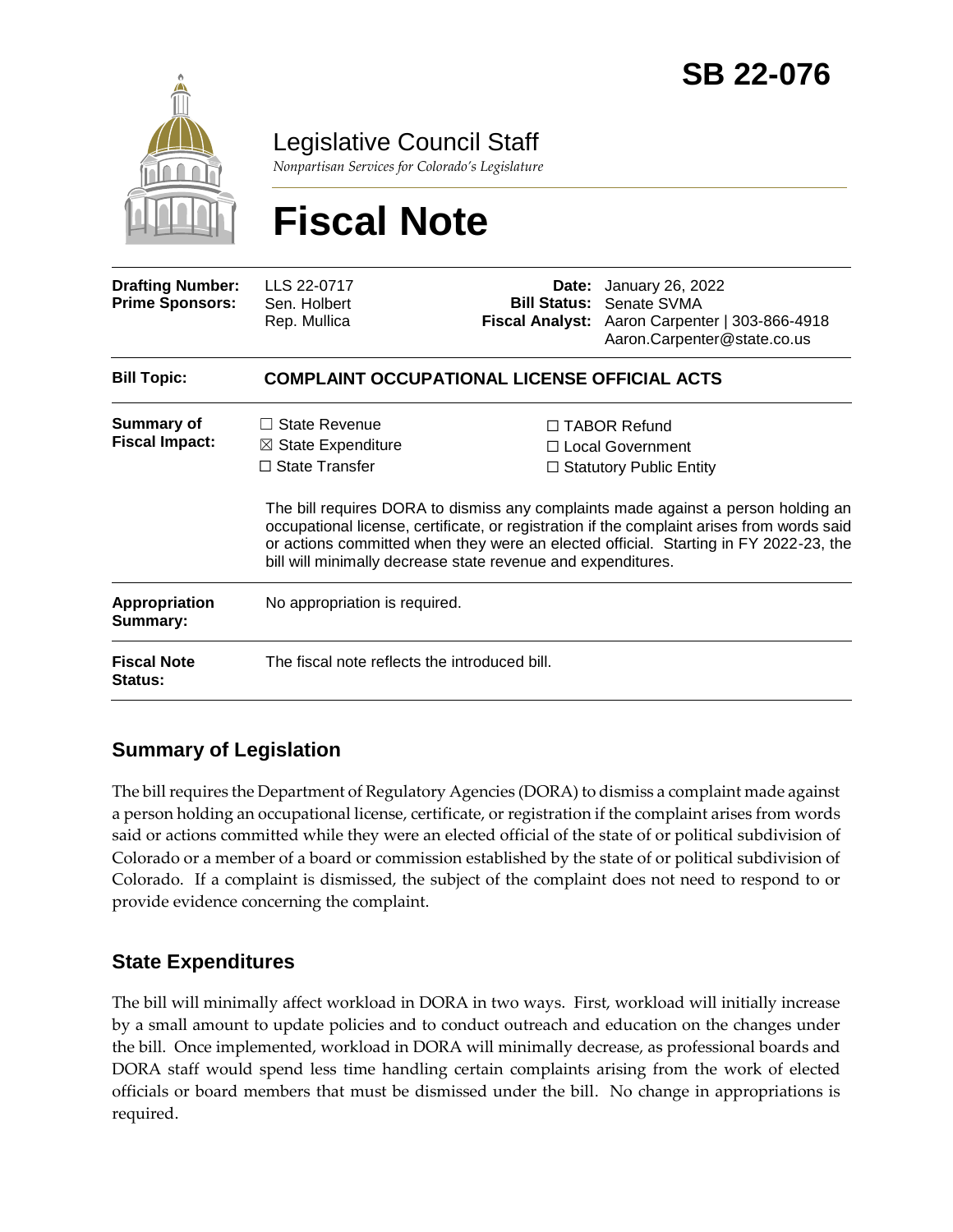

Legislative Council Staff

*Nonpartisan Services for Colorado's Legislature*

# **Fiscal Note**

| <b>Drafting Number:</b><br><b>Prime Sponsors:</b> | LLS 22-0717<br>Sen. Holbert<br>Rep. Mullica                                                                                                                                                                                                                                                                                             |  | <b>Date:</b> January 26, 2022<br><b>Bill Status: Senate SVMA</b><br>Fiscal Analyst: Aaron Carpenter   303-866-4918<br>Aaron.Carpenter@state.co.us |  |
|---------------------------------------------------|-----------------------------------------------------------------------------------------------------------------------------------------------------------------------------------------------------------------------------------------------------------------------------------------------------------------------------------------|--|---------------------------------------------------------------------------------------------------------------------------------------------------|--|
| <b>Bill Topic:</b>                                | <b>COMPLAINT OCCUPATIONAL LICENSE OFFICIAL ACTS</b>                                                                                                                                                                                                                                                                                     |  |                                                                                                                                                   |  |
| <b>Summary of</b><br><b>Fiscal Impact:</b>        | State Revenue<br>$\boxtimes$ State Expenditure<br>$\Box$ State Transfer                                                                                                                                                                                                                                                                 |  | $\Box$ TABOR Refund<br>$\Box$ Local Government<br>$\Box$ Statutory Public Entity                                                                  |  |
|                                                   | The bill requires DORA to dismiss any complaints made against a person holding an<br>occupational license, certificate, or registration if the complaint arises from words said<br>or actions committed when they were an elected official. Starting in FY 2022-23, the<br>bill will minimally decrease state revenue and expenditures. |  |                                                                                                                                                   |  |
| Appropriation<br>Summary:                         | No appropriation is required.                                                                                                                                                                                                                                                                                                           |  |                                                                                                                                                   |  |
| <b>Fiscal Note</b><br><b>Status:</b>              | The fiscal note reflects the introduced bill.                                                                                                                                                                                                                                                                                           |  |                                                                                                                                                   |  |

## **Summary of Legislation**

The bill requires the Department of Regulatory Agencies (DORA) to dismiss a complaint made against a person holding an occupational license, certificate, or registration if the complaint arises from words said or actions committed while they were an elected official of the state of or political subdivision of Colorado or a member of a board or commission established by the state of or political subdivision of Colorado. If a complaint is dismissed, the subject of the complaint does not need to respond to or provide evidence concerning the complaint.

### **State Expenditures**

The bill will minimally affect workload in DORA in two ways. First, workload will initially increase by a small amount to update policies and to conduct outreach and education on the changes under the bill. Once implemented, workload in DORA will minimally decrease, as professional boards and DORA staff would spend less time handling certain complaints arising from the work of elected officials or board members that must be dismissed under the bill. No change in appropriations is required.